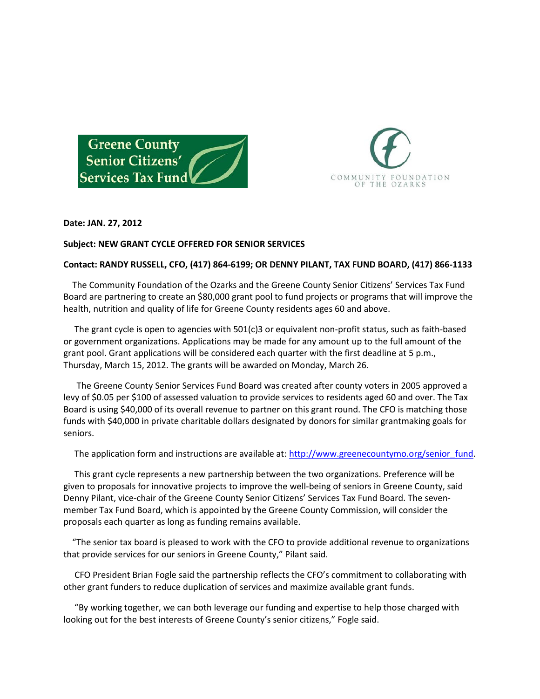



## **Date: JAN. 27, 2012**

## **Subject: NEW GRANT CYCLE OFFERED FOR SENIOR SERVICES**

## **Contact: RANDY RUSSELL, CFO, (417) 864-6199; OR DENNY PILANT, TAX FUND BOARD, (417) 866-1133**

 The Community Foundation of the Ozarks and the Greene County Senior Citizens' Services Tax Fund Board are partnering to create an \$80,000 grant pool to fund projects or programs that will improve the health, nutrition and quality of life for Greene County residents ages 60 and above.

 The grant cycle is open to agencies with 501(c)3 or equivalent non-profit status, such as faith-based or government organizations. Applications may be made for any amount up to the full amount of the grant pool. Grant applications will be considered each quarter with the first deadline at 5 p.m., Thursday, March 15, 2012. The grants will be awarded on Monday, March 26.

 The Greene County Senior Services Fund Board was created after county voters in 2005 approved a levy of \$0.05 per \$100 of assessed valuation to provide services to residents aged 60 and over. The Tax Board is using \$40,000 of its overall revenue to partner on this grant round. The CFO is matching those funds with \$40,000 in private charitable dollars designated by donors for similar grantmaking goals for seniors.

The application form and instructions are available at: [http://www.greenecountymo.org/senior\\_fund.](http://www.greenecountymo.org/senior_fund)

 This grant cycle represents a new partnership between the two organizations. Preference will be given to proposals for innovative projects to improve the well-being of seniors in Greene County, said Denny Pilant, vice-chair of the Greene County Senior Citizens' Services Tax Fund Board. The sevenmember Tax Fund Board, which is appointed by the Greene County Commission, will consider the proposals each quarter as long as funding remains available.

 "The senior tax board is pleased to work with the CFO to provide additional revenue to organizations that provide services for our seniors in Greene County," Pilant said.

 CFO President Brian Fogle said the partnership reflects the CFO's commitment to collaborating with other grant funders to reduce duplication of services and maximize available grant funds.

 "By working together, we can both leverage our funding and expertise to help those charged with looking out for the best interests of Greene County's senior citizens," Fogle said.